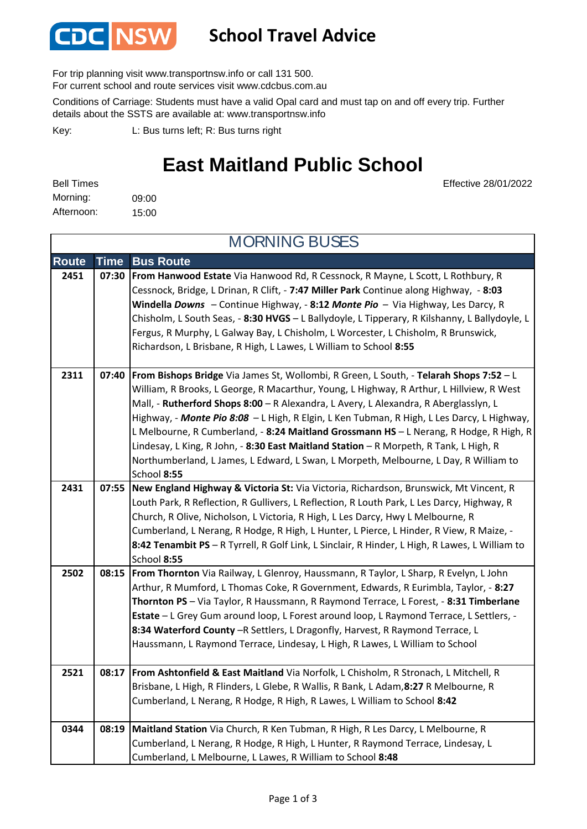

### **School Travel Advice**

For trip planning visit www.transportnsw.info or call 131 500.

For current school and route services visit www.cdcbus.com.au

Conditions of Carriage: Students must have a valid Opal card and must tap on and off every trip. Further details about the SSTS are available at: www.transportnsw.info

L: Bus turns left; R: Bus turns right Key:

## **East Maitland Public School**

Effective 28/01/2022

09:00 15:00 Afternoon: Bell Times Morning:

**Route Time Bus Route 2451 07:30 From Hanwood Estate** Via Hanwood Rd, R Cessnock, R Mayne, L Scott, L Rothbury, R Cessnock, Bridge, L Drinan, R Clift, - **7:47 Miller Park** Continue along Highway, - **8:03 Windella** *Downs* – Continue Highway, - **8:12** *Monte Pio –* Via Highway, Les Darcy, R Chisholm, L South Seas, - **8:30 HVGS** – L Ballydoyle, L Tipperary, R Kilshanny, L Ballydoyle, L Fergus, R Murphy, L Galway Bay, L Chisholm, L Worcester, L Chisholm, R Brunswick, Richardson, L Brisbane, R High, L Lawes, L William to School **8:55 2311 07:40 From Bishops Bridge** Via James St, Wollombi, R Green, L South, - **Telarah Shops 7:52** – L William, R Brooks, L George, R Macarthur, Young, L Highway, R Arthur, L Hillview, R West Mall, - **Rutherford Shops 8:00** – R Alexandra, L Avery, L Alexandra, R Aberglasslyn, L Highway, - *Monte Pio 8:08* – L High, R Elgin, L Ken Tubman, R High, L Les Darcy, L Highway, L Melbourne, R Cumberland, - **8:24 Maitland Grossmann HS** – L Nerang, R Hodge, R High, R Lindesay, L King, R John, - **8:30 East Maitland Station** – R Morpeth, R Tank, L High, R Northumberland, L James, L Edward, L Swan, L Morpeth, Melbourne, L Day, R William to School **8:55 2431 07:55 New England Highway & Victoria St:** Via Victoria, Richardson, Brunswick, Mt Vincent, R Louth Park, R Reflection, R Gullivers, L Reflection, R Louth Park, L Les Darcy, Highway, R Church, R Olive, Nicholson, L Victoria, R High, L Les Darcy, Hwy L Melbourne, R Cumberland, L Nerang, R Hodge, R High, L Hunter, L Pierce, L Hinder, R View, R Maize, - **8:42 Tenambit PS** – R Tyrrell, R Golf Link, L Sinclair, R Hinder, L High, R Lawes, L William to School **8:55 2502 08:15 From Thornton** Via Railway, L Glenroy, Haussmann, R Taylor, L Sharp, R Evelyn, L John Arthur, R Mumford, L Thomas Coke, R Government, Edwards, R Eurimbla, Taylor, - **8:27 Thornton PS** – Via Taylor, R Haussmann, R Raymond Terrace, L Forest, - **8:31 Timberlane Estate** – L Grey Gum around loop, L Forest around loop, L Raymond Terrace, L Settlers, - **8:34 Waterford County** –R Settlers, L Dragonfly, Harvest, R Raymond Terrace, L Haussmann, L Raymond Terrace, Lindesay, L High, R Lawes, L William to School **2521 08:17 From Ashtonfield & East Maitland** Via Norfolk, L Chisholm, R Stronach, L Mitchell, R Brisbane, L High, R Flinders, L Glebe, R Wallis, R Bank, L Adam,**8:27** R Melbourne, R Cumberland, L Nerang, R Hodge, R High, R Lawes, L William to School **8:42 0344 08:19 Maitland Station** Via Church, R Ken Tubman, R High, R Les Darcy, L Melbourne, R Cumberland, L Nerang, R Hodge, R High, L Hunter, R Raymond Terrace, Lindesay, L MORNING BUSES

Cumberland, L Melbourne, L Lawes, R William to School **8:48**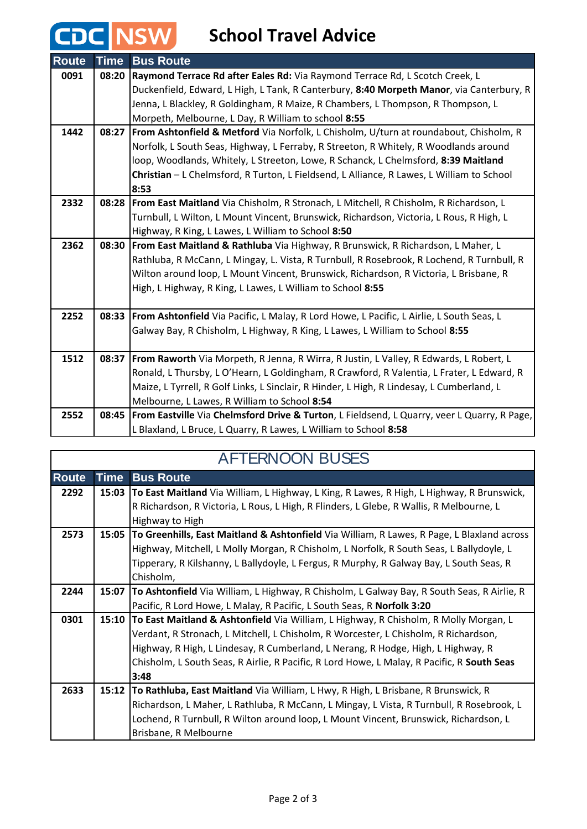# **School Travel Advice**

**CDC NSW** 

| <b>Route</b> | <b>Time</b> | <b>Bus Route</b>                                                                               |
|--------------|-------------|------------------------------------------------------------------------------------------------|
| 0091         | 08:20       | Raymond Terrace Rd after Eales Rd: Via Raymond Terrace Rd, L Scotch Creek, L                   |
|              |             | Duckenfield, Edward, L High, L Tank, R Canterbury, 8:40 Morpeth Manor, via Canterbury, R       |
|              |             | Jenna, L Blackley, R Goldingham, R Maize, R Chambers, L Thompson, R Thompson, L                |
|              |             | Morpeth, Melbourne, L Day, R William to school 8:55                                            |
| 1442         |             | 08:27 From Ashtonfield & Metford Via Norfolk, L Chisholm, U/turn at roundabout, Chisholm, R    |
|              |             | Norfolk, L South Seas, Highway, L Ferraby, R Streeton, R Whitely, R Woodlands around           |
|              |             | loop, Woodlands, Whitely, L Streeton, Lowe, R Schanck, L Chelmsford, 8:39 Maitland             |
|              |             | Christian - L Chelmsford, R Turton, L Fieldsend, L Alliance, R Lawes, L William to School      |
|              |             | 8:53                                                                                           |
| 2332         | 08:28       | <b>From East Maitland</b> Via Chisholm, R Stronach, L Mitchell, R Chisholm, R Richardson, L    |
|              |             | Turnbull, L Wilton, L Mount Vincent, Brunswick, Richardson, Victoria, L Rous, R High, L        |
|              |             | Highway, R King, L Lawes, L William to School 8:50                                             |
| 2362         | 08:30       | From East Maitland & Rathluba Via Highway, R Brunswick, R Richardson, L Maher, L               |
|              |             | Rathluba, R McCann, L Mingay, L. Vista, R Turnbull, R Rosebrook, R Lochend, R Turnbull, R      |
|              |             | Wilton around loop, L Mount Vincent, Brunswick, Richardson, R Victoria, L Brisbane, R          |
|              |             | High, L Highway, R King, L Lawes, L William to School 8:55                                     |
|              |             |                                                                                                |
| 2252         |             | 08:33 From Ashtonfield Via Pacific, L Malay, R Lord Howe, L Pacific, L Airlie, L South Seas, L |
|              |             | Galway Bay, R Chisholm, L Highway, R King, L Lawes, L William to School 8:55                   |
|              |             |                                                                                                |
| 1512         | 08:37       | From Raworth Via Morpeth, R Jenna, R Wirra, R Justin, L Valley, R Edwards, L Robert, L         |
|              |             | Ronald, L Thursby, L O'Hearn, L Goldingham, R Crawford, R Valentia, L Frater, L Edward, R      |
|              |             | Maize, L Tyrrell, R Golf Links, L Sinclair, R Hinder, L High, R Lindesay, L Cumberland, L      |
|              |             | Melbourne, L Lawes, R William to School 8:54                                                   |
| 2552         | 08:45       | From Eastville Via Chelmsford Drive & Turton, L Fieldsend, L Quarry, veer L Quarry, R Page,    |
|              |             | L Blaxland, L Bruce, L Quarry, R Lawes, L William to School 8:58                               |

| AFTERNOON BUSES |      |                                                                                                    |  |  |  |
|-----------------|------|----------------------------------------------------------------------------------------------------|--|--|--|
| <b>Route</b>    | Time | <b>Bus Route</b>                                                                                   |  |  |  |
| 2292            |      | 15:03 To East Maitland Via William, L Highway, L King, R Lawes, R High, L Highway, R Brunswick,    |  |  |  |
|                 |      | R Richardson, R Victoria, L Rous, L High, R Flinders, L Glebe, R Wallis, R Melbourne, L            |  |  |  |
|                 |      | Highway to High                                                                                    |  |  |  |
| 2573            |      | 15:05 To Greenhills, East Maitland & Ashtonfield Via William, R Lawes, R Page, L Blaxland across   |  |  |  |
|                 |      | Highway, Mitchell, L Molly Morgan, R Chisholm, L Norfolk, R South Seas, L Ballydoyle, L            |  |  |  |
|                 |      | Tipperary, R Kilshanny, L Ballydoyle, L Fergus, R Murphy, R Galway Bay, L South Seas, R            |  |  |  |
|                 |      | Chisholm,                                                                                          |  |  |  |
| 2244            |      | 15:07   To Ashtonfield Via William, L Highway, R Chisholm, L Galway Bay, R South Seas, R Airlie, R |  |  |  |
|                 |      | Pacific, R Lord Howe, L Malay, R Pacific, L South Seas, R Norfolk 3:20                             |  |  |  |
| 0301            |      | 15:10 To East Maitland & Ashtonfield Via William, L Highway, R Chisholm, R Molly Morgan, L         |  |  |  |
|                 |      | Verdant, R Stronach, L Mitchell, L Chisholm, R Worcester, L Chisholm, R Richardson,                |  |  |  |
|                 |      | Highway, R High, L Lindesay, R Cumberland, L Nerang, R Hodge, High, L Highway, R                   |  |  |  |
|                 |      | Chisholm, L South Seas, R Airlie, R Pacific, R Lord Howe, L Malay, R Pacific, R South Seas         |  |  |  |
|                 |      | 3:48                                                                                               |  |  |  |
| 2633            |      | 15:12 To Rathluba, East Maitland Via William, L Hwy, R High, L Brisbane, R Brunswick, R            |  |  |  |
|                 |      | Richardson, L Maher, L Rathluba, R McCann, L Mingay, L Vista, R Turnbull, R Rosebrook, L           |  |  |  |
|                 |      | Lochend, R Turnbull, R Wilton around loop, L Mount Vincent, Brunswick, Richardson, L               |  |  |  |
|                 |      | Brisbane, R Melbourne                                                                              |  |  |  |

#### A FTERNOON BUSE

H.